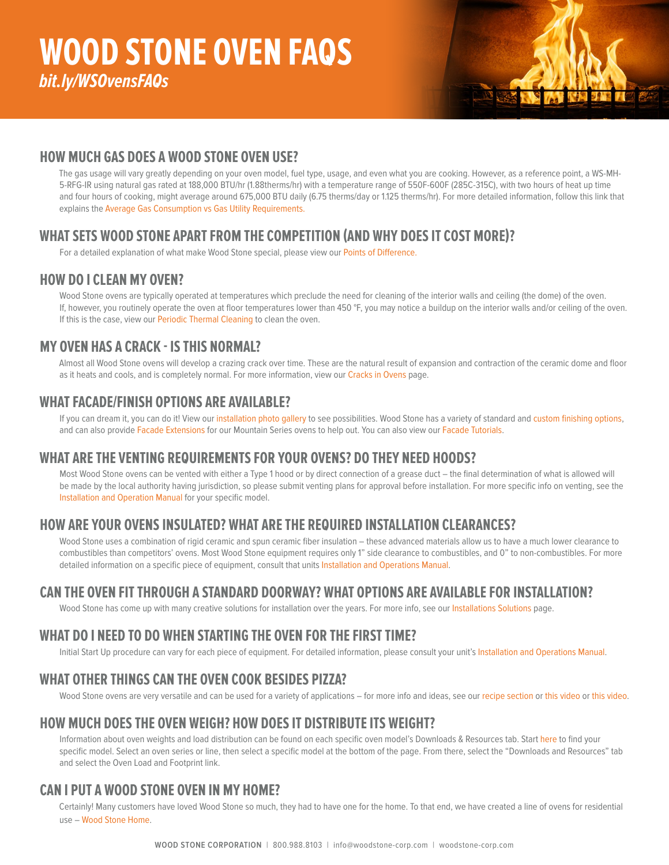# **HOW MUCH GAS DOES A WOOD STONE OVEN USE?**

The gas usage will vary greatly depending on your oven model, fuel type, usage, and even what you are cooking. However, as a reference point, a WS-MH-5-RFG-IR using natural gas rated at 188,000 BTU/hr (1.88therms/hr) with a temperature range of 550F-600F (285C-315C), with two hours of heat up time and four hours of cooking, might average around 675,000 BTU daily (6.75 therms/day or 1.125 therms/hr). For more detailed information, follow this link that explains the [Average Gas Consumption vs Gas Utility Requirements.](http://woodstone-corp.com/resources/points-difference/average-gas-consumption)

# **WHAT SETS WOOD STONE APART FROM THE COMPETITION (AND WHY DOES IT COST MORE)?**

For a detailed explanation of what make Wood Stone special, please view our P[oints of Difference.](https://bfltj1dl2kj18ga54czhma1c-wpengine.netdna-ssl.com/wp-content/uploads/2019/07/WS-Points-of-Difference-2020.pdf)

# **HOW DO I CLEAN MY OVEN?**

Wood Stone ovens are typically operated at temperatures which preclude the need for cleaning of the interior walls and ceiling (the dome) of the oven. If, however, you routinely operate the oven at floor temperatures lower than 450 °F, you may notice a buildup on the interior walls and/or ceiling of the oven. If this is the case, view ou[r Periodic Thermal Cleaning](https://woodstone-corp.com/wp-content/uploads/2020/09/Mountain_Series_Thermal_Cleaning.pdf) to clean the oven.

## **MY OVEN HAS A CRACK - IS THIS NORMAL?**

Almost all Wood Stone ovens will develop a crazing crack over time. These are the natural result of expansion and contraction of the ceramic dome and floor as it heats and cools, and is completely normal. For more information, view our [Cracks in Ovens](https://woodstone-corp.com/cracks-in-ovens/) page.

#### **WHAT FACADE/FINISH OPTIONS ARE AVAILABLE?**

If you can dream it, you can do it! View our [installation photo gallery](https://woodstone-corp.com/photo-gallery/) to see possibilities. Wood Stone has a variety of standard and [custom finishing options](https://woodstone-corp.com/custom-finishes/), and can also provide [Facade Extensions](https://woodstone-corp.com/facade-extensions/) for our Mountain Series ovens to help out. You can also view our [Facade Tutorial](https://bfltj1dl2kj18ga54czhma1c-wpengine.netdna-ssl.com/wp-content/uploads/2020/02/Wood-Stone-Facade-Tutorials.pdf)s.

## **WHAT ARE THE VENTING REQUIREMENTS FOR YOUR OVENS? DO THEY NEED HOODS?**

Most Wood Stone ovens can be vented with either a Type 1 hood or by direct connection of a grease duct – the final determination of what is allowed will be made by the local authority having jurisdiction, so please submit venting plans for approval before installation. For more specific info on venting, see the [Installation and Operation Manual](https://woodstone-corp.com/installation-operation-manuals/) for your specific model.

# **HOW ARE YOUR OVENS INSULATED? WHAT ARE THE REQUIRED INSTALLATION CLEARANCES?**

Wood Stone uses a combination of rigid ceramic and spun ceramic fiber insulation – these advanced materials allow us to have a much lower clearance to combustibles than competitors' ovens. Most Wood Stone equipment requires only 1" side clearance to combustibles, and 0" to non-combustibles. For more detailed information on a specific piece of equipment, consult that units [Installation and Operations Manual](https://woodstone-corp.com/installation-operation-manuals/).

## **CAN THE OVEN FIT THROUGH A STANDARD DOORWAY? WHAT OPTIONS ARE AVAILABLE FOR INSTALLATION?**

Wood Stone has come up with many creative solutions for installation over the years. For more info, see our I[nstallations Solutions](https://woodstone-corp.com/installation-solutions/) page.

## **WHAT DO I NEED TO DO WHEN STARTING THE OVEN FOR THE FIRST TIME?**

Initial Start Up procedure can vary for each piece of equipment. For detailed information, please consult your unit's [Installation and Operations Manual.](https://woodstone-corp.com/installation-operation-manuals/)

# **WHAT OTHER THINGS CAN THE OVEN COOK BESIDES PIZZA?**

Wood Stone ovens are very versatile and can be used for a variety of applications – for more info and ideas, see our [recipe section](https://woodstone-corp.com/category/recipes/) or [this video](https://www.youtube.com/watch?v=9gyt-W91gyY&list=PLzJkES3HUG_aV) or [this video.](https://www.youtube.com/watch?v=HwSYuUeVLSw&list=PLzJkES3HUG_bqO5uvnApb2e0B3ovtviwO&index=8&t=0s)

## **HOW MUCH DOES THE OVEN WEIGH? HOW DOES IT DISTRIBUTE ITS WEIGHT?**

Information about oven weights and load distribution can be found on each specific oven model's Downloads & Resources tab. Start [here](https://woodstone-corp.com/product-category/stone-hearth-ovens/) to find your specific model. Select an oven series or line, then select a specific model at the bottom of the page. From there, select the "Downloads and Resources" tab and select the Oven Load and Footprint link.

#### **CAN I PUT A WOOD STONE OVEN IN MY HOME?**

Certainly! Many customers have loved Wood Stone so much, they had to have one for the home. To that end, we have created a line of ovens for residential use – [Wood Stone Home.](http://www.woodstonehome.com/)